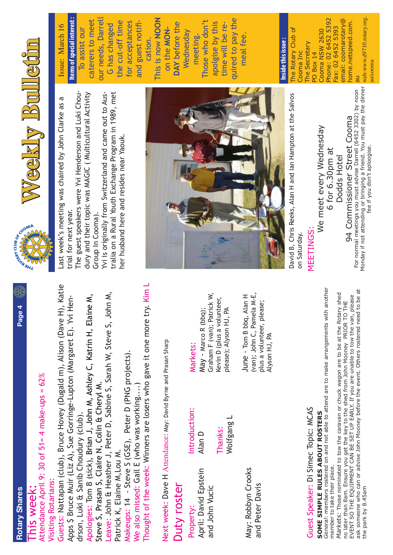| ტ<br>მ |  |
|--------|--|
|        |  |
|        |  |
|        |  |
|        |  |
|        |  |
|        |  |

**Page 4**



Attendance April 9: 30 of 51=4 make-ups =  $62\%$ Attendance April 9: 30 of 51= 4 make-ups =  $62\%$ Visiting Rotarians: Visiting Rotarians:

Nattapan (club), Bruce Hovey (Dugald m), Alison (Dave H), Katie Guests: Nattapan (club), Bruce Hovey (Dugald m), Alison (Dave H), Katie Apps \$ Bruce Muir (Liz A), Sue Gorringe-Lupton (Margaret E). Yvi Hen-Apps \$ Bruce Muir (Liz A), Sue Gorringe-Lupton (Margaret E). Yvi Hendrson, Luki & Sanib Choudury (club). drson, Luki & Sanib Choudury (club).

Apologies: Tom B (sick), Brian J, John M, Ashley C, Katrin H, Elaine M, Apologies: Tom B (sick), Brian J, John M, Ashley C, Katrin H, Elaine M,<br>Steve S, Prasan S, Claire N, Colin & Cheryl M. Steve S, Prasan S, Claire N, Colin & Cheryl M.

Leave: John & Heather J, Peter D, Sabine S, Sarah W, Steve S, John M, Leave: John & Heather J, Peter D, Sabine S, Sarah W, Steve S, John M, Patrick K, Elaine M, Lou M. Patrick K, Elaine M,Lou M.

Makeups: 14 - Steve S (GSE), Peter D (PNG projects). Makeups: 14 - Steve S (GSE), Peter D (PNG projects). We also missed: Gail E (who was working....) We also missed: Gail E (who was working....)

Thought of the week: Winners are losers who gave it one more try. Kim L Thought of the week: Winners are losers who gave it one more try. Kim L

Next week: Dave H Attendance: May: David Byrne and Prasan Sharp Next week: Dave H Attendance: May: David Byrne and Prasan Sharp

#### Duty roster Duty roster

April: David Epstein April: David Epstein and John Vucic and John Vucic Property:

Wolfgang L Wolfgang L Thanks:

> May: Robbyn Crooks May: Robbyn Crooks and Peter Davis and Peter Davis

### Markets:

Introduction:

Introduction:

Alan D

Graham F (van); Patrick W, Graham F (van); Patrick W, Kevin D (plus a volunteer, Kevin D (plus a volunteer, May - Marco R (bbq); please); Alyson HJ, PA May - Marco R (bbq); please); Alyson HJ, PA

(van); John C, Pamela M-E, June - Tom B bbq, Alan H (van); John C, Pamela M-E, June - Tom B bbq, Alan H plus a volunteer, please; plus a volunteer, please; Alyson HJ, PA Alyson HJ, PA

# Guest Speaker: Di Simec Topic: MCAS Guest Speaker: Di Simec Topic: MCAS

# SOME SIMPLE RULES ABOUT ROSTERS **SOME SIMPLE RULES ABOUT ROSTERS**

*General*: members rostered on and not able to attend are to make arrangements with another General: members rostered on and not able to attend are to make arrangements with another member to take their place. member to take their place.

no later than 8am. Ensure you get the key to the shed from John Mooney PRIOR TO THE<br>EVENT SO THE EQUIPMENT CAN BE SET UP EARLY. If you are unable to tow the van, please<br>ask someone who can or advise John Mooney before the ask someone who can or advise John Mooney before the event. Others rostered need to be at *Markets:* Those nominated to tow the caravan or chuck wagon are to be at the Rotary shed Markets: Those nominated to tow the caravan or chuck wagon are to be at the Rotary shed EVENT SO THE EQUIPMENT CAN BE SET UP EARLY. If you are unable to tow the van, please no later than 8am. Ensure you get the key to the shed from John Mooney PRIOR TO THE the park by 8.45am the park by 8.45am





Last week's meeting was chaired by John Clarke as a Last week's meeting was chaired by John Clarke as a trial for next year. trial for next year.

dury and their topic was MAGIC ( Multicultural Activity The guest speakers were Yvi Henderson and Luki Choudury and their topic was MAGIC (Multicultural Activity The guest speakers were Yvi Henderson and Luki Chou-Group In Cooma). Group In Cooma).

tralia on a Rural Youth Exchange Program in 1989, met tralia on a Rural Youth Exchange Program in 1989, met Yvi is originally from Switzerland and came out to Aus-Yvi is originally from Switzerland and came out to Ausner husband here and resides near Yaouk. her husband here and resides near Yaouk.



David B, Chris Reeks, Alan H and Ian Hampton at the Salvos David B, Chris Reeks, Alan H and lan Hampton at the Salvos on Saturday. on Saturday.

#### **NEETINGS:** MEETINGS:

94 Commissioner Street Cooma 94 Commissioner Street Cooma We meet every Wednesday We meet every Wednesday 6 for 6.30pm at 6 for 6.30pm at Dodds Hotel Dodds Hotel

Monday if not attending or bringing a friend. You must pay the dinner Monday if not attending or bringing a friend. You must pay the dinner For normal meetings you must advise Darrell (6452 3302) by noon For normal meetings you must advise Darrell (6452 3302) by noon ee if you don't aploogise. fee if you don't aploogise.

Issue: March 16 Issue: March 16

our needs, Darrell **Items of special interest:** caterers to meet our needs, Darrell This is now NOON **Items of special interest :** caterers to meet the cut-off time for acceptances This is now **NOON** the cut-off time for acceptances and guest notifi-G has changed **G** has changed To assist our To assist our and guest noti cation.

quired to pay the quired to pay the Those who don't Those who don't apolgise by this **DAY** before the apolgise by this DAY before the time will be retime will be reon the MONon the **MON-**Wednesday Wednesday meeting. meal fee. meal fee.

#### Inside this issue: **Inside this issue :**

web:www.d9710.rotary.org. Phone: 02 6452 5392 email: coomarotary@ web:www.d9710.rotary.org. Phone: 02 6452 5392 email: coomarotary@ nome.netspeed.com. home.netspeed.com. Fax: 02 6452 5393 The Rotary Club of The Rotary Club of Cooma NSW 2630 Fax: 02 6452 5393 Cooma NSW 2630 The Secretary The Secretary Cooma Inc **PI XOB** Do Cooma Inc PO Box 14 au

u/cooma au/cooma